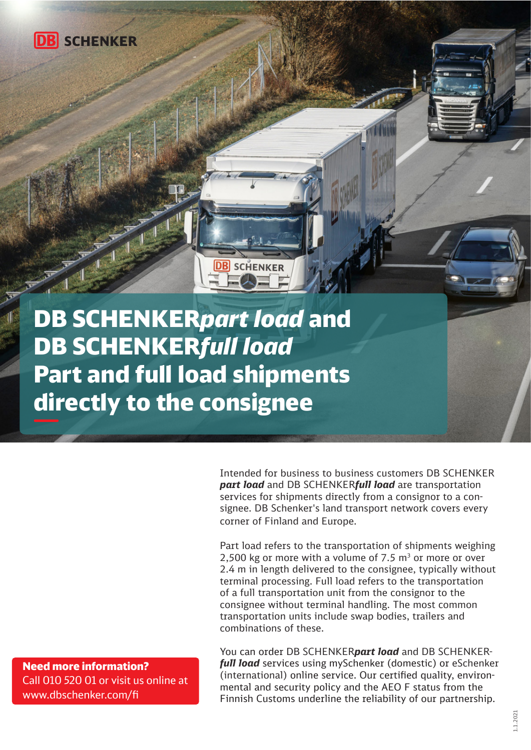

DB SCHENKER*part load* and DB SCHENKER*full load*  Part and full load shipments directly to the consignee

**DB** SCHENKER

Intended for business to business customers DB SCHENKER *part load* and DB SCHENKER*full load* are transportation services for shipments directly from a consignor to a consignee. DB Schenker's land transport network covers every corner of Finland and Europe.

Part load refers to the transportation of shipments weighing 2,500 kg or more with a volume of 7.5  $\text{m}^3$  or more or over 2.4 m in length delivered to the consignee, typically without terminal processing. Full load refers to the transportation of a full transportation unit from the consignor to the consignee without terminal handling. The most common transportation units include swap bodies, trailers and combinations of these.

You can order DB SCHENKER*part load* and DB SCHENKER*full load* services using mySchenker (domestic) or eSchenker (international) online service. Our certified quality, environmental and security policy and the AEO F status from the Finnish Customs underline the reliability of our partnership.

Need more information? Call 010 520 01 or visit us online at www.dbschenker.com/fi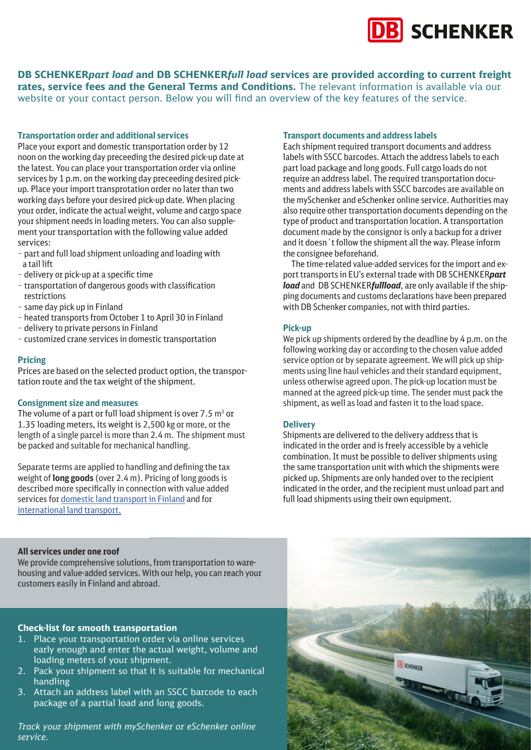# **B** SCHENKER

**DB SCHENKER***part load* **and DB SCHENKER***full load* **services are provided according to current freight rates, service fees and the General Terms and Conditions.** The relevant information is available via our website or your contact person. Below you will find an overview of the key features of the service.

#### **Transportation order and additional services**

Place your export and domestic transportation order by 12 noon on the working day preceeding the desired pick-up date at the latest. You can place your transportation order via online services by 1 p.m. on the working day preceeding desired pickup. Place your import transprotation order no later than two working days before your desired pick-up date. When placing your order, indicate the actual weight, volume and cargo space your shipment needs in loading meters. You can also supplement your transportation with the following value added services:

- part and full load shipment unloading and loading with a tail lift
- delivery or pick-up at a specific time
- transportation of dangerous goods with classification restrictions
- same day pick up in Finland
- heated transports from October 1 to April 30 in Finland
- delivery to private persons in Finland
- customized crane services in domestic transportation

## **Pricing**

Prices are based on the selected product option, the transportation route and the tax weight of the shipment.

#### **Consignment size and measures**

The volume of a part or full load shipment is over  $7.5$  m<sup>3</sup> or 1.35 loading meters, its weight is 2,500 kg or more, or the length of a single parcel is more than 2.4 m. The shipment must be packed and suitable for mechanical handling.

Separate terms are applied to handling and defining the tax weight of **long goods** (over 2.4 m). Pricing of long goods is described more specifically in connection with value added services for [domestic land transport in Finland](https://www.dbschenker.com/resource/blob/593328/abb7c7b260306c3c01eb044cbaa3dbf1/value-added-services-for-domestic-land-transports-in-finland-data.pdf) and for [international land transport.](https://www.dbschenker.com/resource/blob/593330/eef2987e0b8b8171af17c3296506abbd/value-added-services-for-internatonal-transports-data.pdf)

#### **Transport documents and address labels**

Each shipment required transport documents and address labels with SSCC barcodes. Attach the address labels to each part load package and long goods. Full cargo loads do not require an address label. The required transportation documents and address labels with SSCC barcodes are available on the mySchenker and eSchenker online service. Authorities may also require other transportation documents depending on the type of product and transportation location. A transportation document made by the consignor is only a backup for a driver and it doesn´t follow the shipment all the way. Please inform the consignee beforehand.

 The time-related value-added services for the import and export transports in EU's external trade with DB SCHENKER*part load* and DB SCHENKER*fullload*, are only available if the shipping documents and customs declarations have been prepared with DB Schenker companies, not with third parties.

#### **Pick-up**

We pick up shipments ordered by the deadline by 4 p.m. on the following working day or according to the chosen value added service option or by separate agreement. We will pick up shipments using line haul vehicles and their standard equipment, unless otherwise agreed upon. The pick-up location must be manned at the agreed pick-up time. The sender must pack the shipment, as well as load and fasten it to the load space.

#### **Delivery**

Shipments are delivered to the delivery address that is indicated in the order and is freely accessible by a vehicle combination. It must be possible to deliver shipments using the same transportation unit with which the shipments were picked up. Shipments are only handed over to the recipient indicated in the order, and the recipient must unload part and full load shipments using their own equipment.

#### **All services under one roof**

We provide comprehensive solutions, from transportation to warehousing and value-added services. With our help, you can reach your customers easily in Finland and abroad.

# **Check-list for smooth transportation**

- 1. Place your transportation order via online services early enough and enter the actual weight, volume and loading meters of your shipment.
- 2. Pack your shipment so that it is suitable for mechanical handling
- 3. Attach an address label with an SSCC barcode to each package of a partial load and long goods.

*Track your shipment with mySchenker or eSchenker online service.*